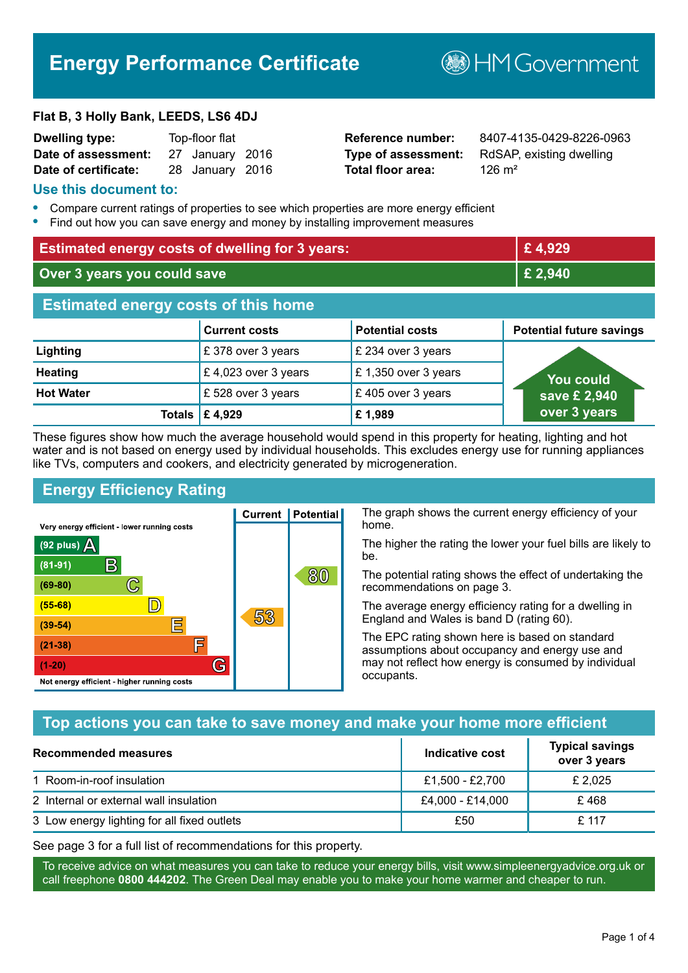# **Energy Performance Certificate**

**B**HM Government

#### **Flat B, 3 Holly Bank, LEEDS, LS6 4DJ**

| <b>Dwelling type:</b> | Top-floor flat |                 |  |
|-----------------------|----------------|-----------------|--|
| Date of assessment:   |                | 27 January 2016 |  |
| Date of certificate:  |                | 28 January 2016 |  |

# **Total floor area:** 206 m<sup>2</sup>

**Reference number:** 8407-4135-0429-8226-0963 **Type of assessment:** RdSAP, existing dwelling

#### **Use this document to:**

- **•** Compare current ratings of properties to see which properties are more energy efficient
- **•** Find out how you can save energy and money by installing improvement measures

| <b>Estimated energy costs of dwelling for 3 years:</b> |                           | £4,929                 |                                 |
|--------------------------------------------------------|---------------------------|------------------------|---------------------------------|
| Over 3 years you could save                            |                           | £ 2,940                |                                 |
| <b>Estimated energy costs of this home</b>             |                           |                        |                                 |
|                                                        | <b>Current costs</b>      | <b>Potential costs</b> | <b>Potential future savings</b> |
| Lighting                                               | £ 378 over 3 years        | £ 234 over 3 years     |                                 |
| <b>Heating</b>                                         | £ 4,023 over 3 years      | £1,350 over 3 years    | <b>You could</b>                |
| <b>Hot Water</b>                                       | £528 over 3 years         | £405 over 3 years      | save £ 2,940                    |
|                                                        | Totals $\mathsf{E}$ 4,929 | £1,989                 | over 3 years                    |

These figures show how much the average household would spend in this property for heating, lighting and hot water and is not based on energy used by individual households. This excludes energy use for running appliances like TVs, computers and cookers, and electricity generated by microgeneration.

**Current | Potential** 

53

# **Energy Efficiency Rating**

 $\mathbb{C}$ 

 $\mathbb{D}$ 

E

庐

G

Very energy efficient - lower running costs

 $\mathsf{R}% _{T}$ 

Not energy efficient - higher running costs

(92 plus)  $\Delta$ 

 $(81 - 91)$ 

 $(69 - 80)$ 

 $(55-68)$ 

 $(39 - 54)$ 

 $(21-38)$ 

 $(1-20)$ 

The graph shows the current energy efficiency of your home.

The higher the rating the lower your fuel bills are likely to be.

The potential rating shows the effect of undertaking the recommendations on page 3.

The average energy efficiency rating for a dwelling in England and Wales is band D (rating 60).

The EPC rating shown here is based on standard assumptions about occupancy and energy use and may not reflect how energy is consumed by individual occupants.

# **Top actions you can take to save money and make your home more efficient**

80

| Recommended measures                        | Indicative cost  | <b>Typical savings</b><br>over 3 years |
|---------------------------------------------|------------------|----------------------------------------|
| 1 Room-in-roof insulation                   | £1,500 - £2,700  | £ 2,025                                |
| 2 Internal or external wall insulation      | £4,000 - £14,000 | £468                                   |
| 3 Low energy lighting for all fixed outlets | £50              | £ 117                                  |

See page 3 for a full list of recommendations for this property.

To receive advice on what measures you can take to reduce your energy bills, visit www.simpleenergyadvice.org.uk or call freephone **0800 444202**. The Green Deal may enable you to make your home warmer and cheaper to run.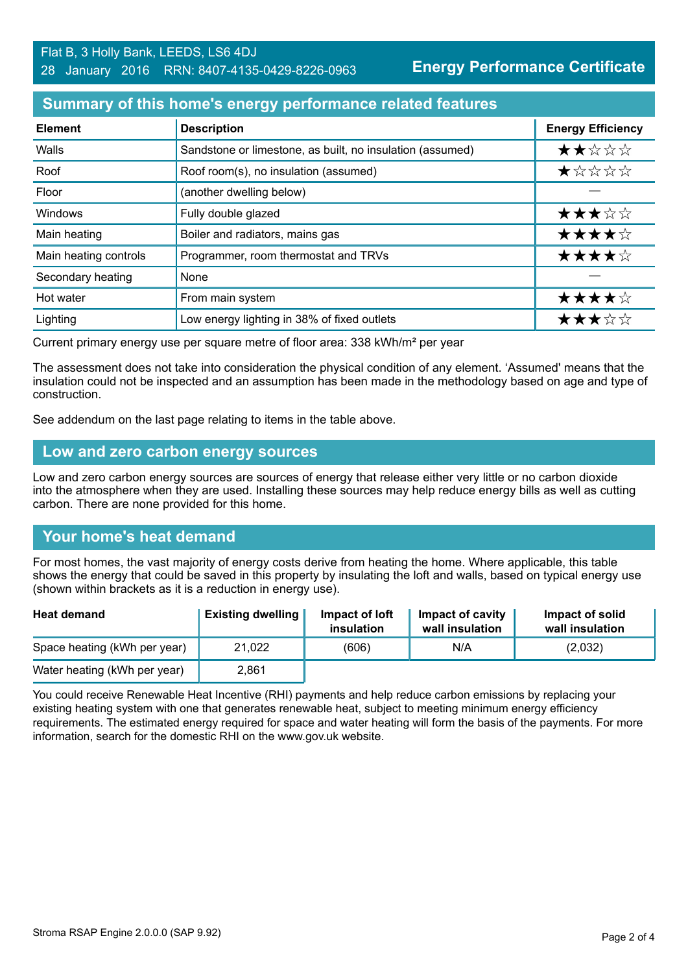**Energy Performance Certificate**

# **Summary of this home's energy performance related features**

| <b>Element</b>        | <b>Description</b>                                        | <b>Energy Efficiency</b> |
|-----------------------|-----------------------------------------------------------|--------------------------|
| Walls                 | Sandstone or limestone, as built, no insulation (assumed) | ★★☆☆☆                    |
| Roof                  | Roof room(s), no insulation (assumed)                     | *****                    |
| Floor                 | (another dwelling below)                                  |                          |
| Windows               | Fully double glazed                                       | ★★★☆☆                    |
| Main heating          | Boiler and radiators, mains gas                           | ★★★★☆                    |
| Main heating controls | Programmer, room thermostat and TRVs                      | ★★★★☆                    |
| Secondary heating     | None                                                      |                          |
| Hot water             | From main system                                          | ★★★★☆                    |
| Lighting              | Low energy lighting in 38% of fixed outlets               | ★★★☆☆                    |

Current primary energy use per square metre of floor area: 338 kWh/m² per year

The assessment does not take into consideration the physical condition of any element. 'Assumed' means that the insulation could not be inspected and an assumption has been made in the methodology based on age and type of construction.

See addendum on the last page relating to items in the table above.

#### **Low and zero carbon energy sources**

Low and zero carbon energy sources are sources of energy that release either very little or no carbon dioxide into the atmosphere when they are used. Installing these sources may help reduce energy bills as well as cutting carbon. There are none provided for this home.

# **Your home's heat demand**

For most homes, the vast majority of energy costs derive from heating the home. Where applicable, this table shows the energy that could be saved in this property by insulating the loft and walls, based on typical energy use (shown within brackets as it is a reduction in energy use).

| <b>Heat demand</b>           | <b>Existing dwelling</b> | Impact of loft<br>insulation | Impact of cavity<br>wall insulation | Impact of solid<br>wall insulation |
|------------------------------|--------------------------|------------------------------|-------------------------------------|------------------------------------|
| Space heating (kWh per year) | 21,022                   | (606)                        | N/A                                 | (2,032)                            |
| Water heating (kWh per year) | 2,861                    |                              |                                     |                                    |

You could receive Renewable Heat Incentive (RHI) payments and help reduce carbon emissions by replacing your existing heating system with one that generates renewable heat, subject to meeting minimum energy efficiency requirements. The estimated energy required for space and water heating will form the basis of the payments. For more information, search for the domestic RHI on the www.gov.uk website.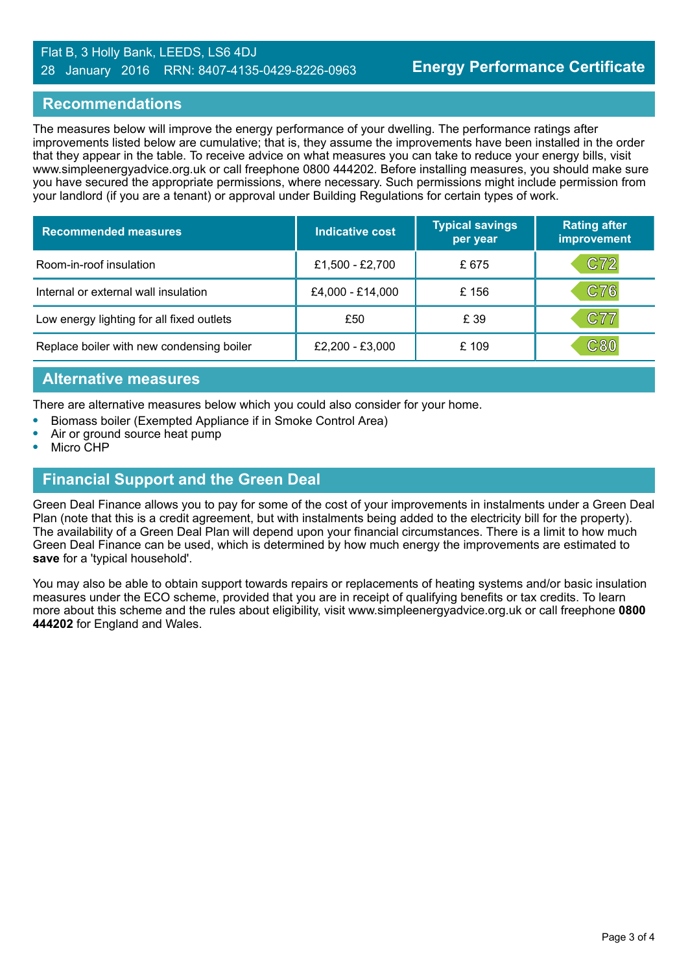#### Flat B, 3 Holly Bank, LEEDS, LS6 4DJ 28 January 2016 RRN: 8407-4135-0429-8226-0963

# **Recommendations**

The measures below will improve the energy performance of your dwelling. The performance ratings after improvements listed below are cumulative; that is, they assume the improvements have been installed in the order that they appear in the table. To receive advice on what measures you can take to reduce your energy bills, visit www.simpleenergyadvice.org.uk or call freephone 0800 444202. Before installing measures, you should make sure you have secured the appropriate permissions, where necessary. Such permissions might include permission from your landlord (if you are a tenant) or approval under Building Regulations for certain types of work.

| <b>Recommended measures</b>               | Indicative cost  | <b>Typical savings</b><br>per year | <b>Rating after</b><br>improvement |
|-------------------------------------------|------------------|------------------------------------|------------------------------------|
| Room-in-roof insulation                   | £1,500 - £2,700  | £675                               | C72                                |
| Internal or external wall insulation      | £4,000 - £14,000 | £156                               | C76                                |
| Low energy lighting for all fixed outlets | £50              | £ 39                               | C77                                |
| Replace boiler with new condensing boiler | £2,200 - £3,000  | £ 109                              | ${\tt C80}$                        |

# **Alternative measures**

There are alternative measures below which you could also consider for your home.

- **•** Biomass boiler (Exempted Appliance if in Smoke Control Area)
- **•** Air or ground source heat pump
- **•** Micro CHP

# **Financial Support and the Green Deal**

Green Deal Finance allows you to pay for some of the cost of your improvements in instalments under a Green Deal Plan (note that this is a credit agreement, but with instalments being added to the electricity bill for the property). The availability of a Green Deal Plan will depend upon your financial circumstances. There is a limit to how much Green Deal Finance can be used, which is determined by how much energy the improvements are estimated to **save** for a 'typical household'.

You may also be able to obtain support towards repairs or replacements of heating systems and/or basic insulation measures under the ECO scheme, provided that you are in receipt of qualifying benefits or tax credits. To learn more about this scheme and the rules about eligibility, visit www.simpleenergyadvice.org.uk or call freephone **0800 444202** for England and Wales.